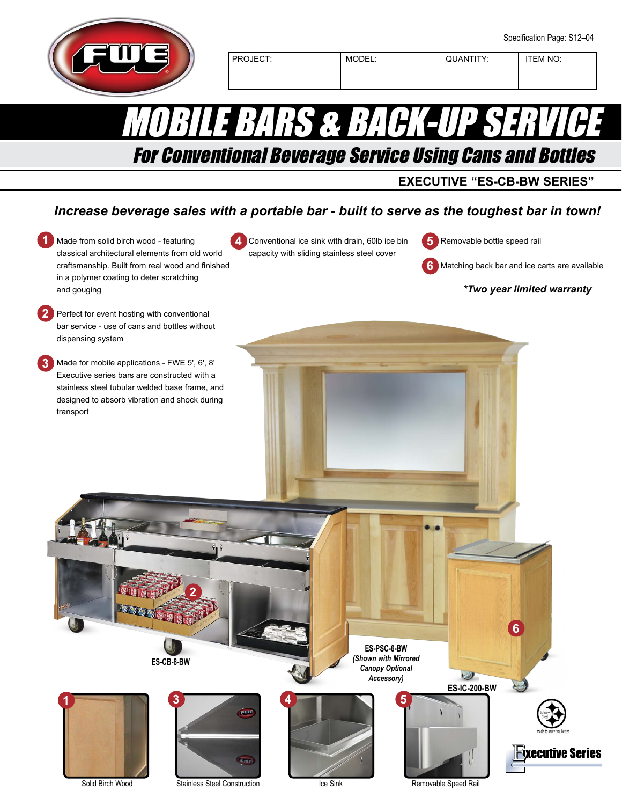PROJECT: | MODEL: | QUANTITY: | ITEM NO:

MORS & BACHCUP

For Conventional Beverage Service Using Cans and Bottles

**EXECUTIVE "ES-CB-BW SERIES"**

## *Increase beverage sales with a portable bar - built to serve as the toughest bar in town!*

**1** Made from solid birch wood - featuring **5** Removable bottle speed rail Conventional ice sink with drain, 60lb ice bin **4 5** classical architectural elements from old world capacity with sliding stainless steel cover craftsmanship. Built from real wood and finished **6** Matching back bar and ice carts are available in a polymer coating to deter scratching *\*Two year limited warranty* and gouging **2** Perfect for event hosting with conventional bar service - use of cans and bottles without dispensing system Made for mobile applications - FWE 5', 6', 8' **3** Executive series bars are constructed with a stainless steel tubular welded base frame, and designed to absorb vibration and shock during transport **2 6 ES-PSC-6-BW** *(Shown with Mirrored*  **ES-CB-8-BW** *Canopy Optional*  ھا *Accessory)* **ES-IC-200-BW 1 3 5 4**

Solid Birch Wood Stainless Steel Construction **Removable Speed Rail** Removable Speed Rail

**Lime** 

Ice Sink

**Fixecutive Seri**o